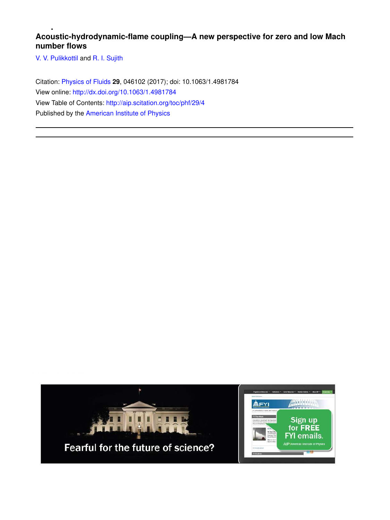## **Acoustic-hydrodynamic-flame coupling—A new perspective for zero and low Mach number flows**

V. V. Pulikkottil and R. I. Sujith

Citation: Physics of Fluids **29**, 046102 (2017); doi: 10.1063/1.4981784 View online: http://dx.doi.org/10.1063/1.4981784 View Table of Contents: http://aip.scitation.org/toc/phf/29/4 Published by the American Institute of Physics

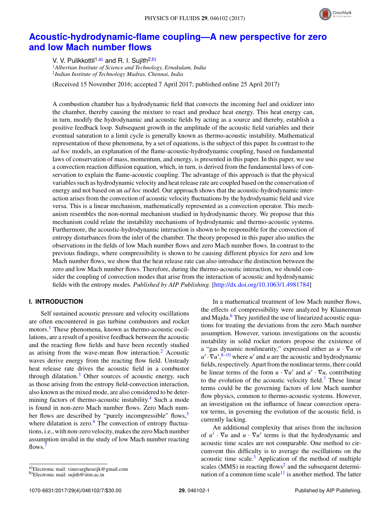

# **Acoustic-hydrodynamic-flame coupling—A new perspective for zero and low Mach number flows**

V. V. Pulikkottil<sup>1,a)</sup> and R. I. Sujith<sup>2,b)</sup> <sup>1</sup>*Albertian Institute of Science and Technology, Ernakulam, India* 2 *Indian Institute of Technology Madras, Chennai, India*

(Received 15 November 2016; accepted 7 April 2017; published online 25 April 2017)

A combustion chamber has a hydrodynamic field that convects the incoming fuel and oxidizer into the chamber, thereby causing the mixture to react and produce heat energy. This heat energy can, in turn, modify the hydrodynamic and acoustic fields by acting as a source and thereby, establish a positive feedback loop. Subsequent growth in the amplitude of the acoustic field variables and their eventual saturation to a limit cycle is generally known as thermo-acoustic instability. Mathematical representation of these phenomena, by a set of equations, is the subject of this paper. In contrast to the *ad hoc* models, an explanation of the flame-acoustic-hydrodynamic coupling, based on fundamental laws of conservation of mass, momentum, and energy, is presented in this paper. In this paper, we use a convection reaction diffusion equation, which, in turn, is derived from the fundamental laws of conservation to explain the flame-acoustic coupling. The advantage of this approach is that the physical variables such as hydrodynamic velocity and heat release rate are coupled based on the conservation of energy and not based on an *ad hoc* model. Our approach shows that the acoustic-hydrodynamic interaction arises from the convection of acoustic velocity fluctuations by the hydrodynamic field and vice versa. This is a linear mechanism, mathematically represented as a convection operator. This mechanism resembles the non-normal mechanism studied in hydrodynamic theory. We propose that this mechanism could relate the instability mechanisms of hydrodynamic and thermo-acoustic systems. Furthermore, the acoustic-hydrodynamic interaction is shown to be responsible for the convection of entropy disturbances from the inlet of the chamber. The theory proposed in this paper also unifies the observations in the fields of low Mach number flows and zero Mach number flows. In contrast to the previous findings, where compressibility is shown to be causing different physics for zero and low Mach number flows, we show that the heat release rate can also introduce the distinction between the zero and low Mach number flows. Therefore, during the thermo-acoustic interaction, we should consider the coupling of convection modes that arise from the interaction of acoustic and hydrodynamic fields with the entropy modes. *Published by AIP Publishing.* [http://dx.doi.org/10.1063/1.4981784]

#### **I. INTRODUCTION**

Self sustained acoustic pressure and velocity oscillations are often encountered in gas turbine combustors and rocket motors.<sup>1</sup> These phenomena, known as thermo-acoustic oscillations, are a result of a positive feedback between the acoustic and the reacting flow fields and have been recently studied as arising from the wave-mean flow interaction.<sup>2</sup> Acoustic waves derive energy from the reacting flow field. Unsteady heat release rate drives the acoustic field in a combustor through dilatation.<sup>3</sup> Other sources of acoustic energy, such as those arising from the entropy field-convection interaction, also known as the mixed mode, are also considered to be determining factors of thermo-acoustic instability. $4$  Such a mode is found in non-zero Mach number flows. Zero Mach number flows are described by "purely incompressible" flows,  $\frac{5}{3}$ where dilatation is zero. $6$  The convection of entropy fluctuations, *i.e.*, with non-zero velocity, makes the zero Mach number assumption invalid in the study of low Mach number reacting flows.<sup>7</sup>

In a mathematical treatment of low Mach number flows, the effects of compressibility were analyzed by Klainerman and Majda.<sup>6</sup> They justified the use of linearized acoustic equations for treating the deviations from the zero Mach number assumption. However, various investigations on the acoustic instability in solid rocket motors propose the existence of a "gas dynamic nonlinearity," expressed either as *u* · ∇*u* or  $u' \cdot \nabla u'$ , <sup>8–10</sup> where *u*' and *u* are the acoustic and hydrodynamic fields, respectively. Apart from the nonlinear terms, there could be linear terms of the form  $u \cdot \nabla u'$  and  $u' \cdot \nabla u$ , contributing to the evolution of the acoustic velocity field.<sup>7</sup> These linear terms could be the governing factors of low Mach number flow physics, common to thermo-acoustic systems. However, an investigation on the influence of linear convection operator terms, in governing the evolution of the acoustic field, is currently lacking.

An additional complexity that arises from the inclusion of  $u' \cdot \nabla u$  and  $u \cdot \nabla u'$  terms is that the hydrodynamic and acoustic time scales are not comparable. One method to circumvent this difficulty is to average the oscillations on the acoustic time scale. $3$  Application of the method of multiple scales (MMS) in reacting flows<sup>2</sup> and the subsequent determination of a common time scale<sup>11</sup> is another method. The latter

a)Electronic mail: vinuvargheseijk@gmail.com

b)Electronic mail: sujith@iitm.ac.in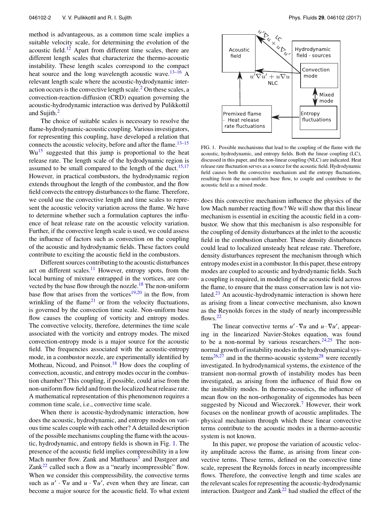method is advantageous, as a common time scale implies a suitable velocity scale, for determining the evolution of the acoustic field.<sup>12</sup> Apart from different time scales, there are different length scales that characterize the thermo-acoustic instability. These length scales correspond to the compact heat source and the long wavelength acoustic wave.<sup>13–16</sup> A relevant length scale where the acoustic-hydrodynamic interaction occurs is the convective length scale.<sup>2</sup> On these scales, a convection-reaction-diffusion (CRD) equation governing the acoustic-hydrodynamic interaction was derived by Pulikkottil and Sujith.<sup>2</sup>

The choice of suitable scales is necessary to resolve the flame-hydrodynamic-acoustic coupling. Various investigators, for representing this coupling, have developed a relation that connects the acoustic velocity, before and after the flame.<sup>13–15</sup>  $\text{Wu}^{\text{15}}$  suggested that this jump is proportional to the heat release rate. The length scale of the hydrodynamic region is assumed to be small compared to the length of the duct.<sup>15,17</sup> However, in practical combustors, the hydrodynamic region extends throughout the length of the combustor, and the flow field convects the entropy disturbances to the flame. Therefore, we could use the convective length and time scales to represent the acoustic velocity variation across the flame. We have to determine whether such a formulation captures the influence of heat release rate on the acoustic velocity variation. Further, if the convective length scale is used, we could assess the influence of factors such as convection on the coupling of the acoustic and hydrodynamic fields. These factors could contribute to exciting the acoustic field in the combustors.

Different sources contributing to the acoustic disturbances act on different scales.<sup>11</sup> However, entropy spots, from the local burning of mixture entrapped in the vortices, are convected by the base flow through the nozzle.<sup>18</sup> The non-uniform base flow that arises from the vortices $19,20$  in the flow, from wrinkling of the flame<sup>21</sup> or from the velocity fluctuations, is governed by the convection time scale. Non-uniform base flow causes the coupling of vorticity and entropy modes. The convective velocity, therefore, determines the time scale associated with the vorticity and entropy modes. The mixed convection-entropy mode is a major source for the acoustic field. The frequencies associated with the acoustic-entropy mode, in a combustor nozzle, are experimentally identified by Motheau, Nicoud, and Poinsot.<sup>18</sup> How does the coupling of convection, acoustic, and entropy modes occur in the combustion chamber? This coupling, if possible, could arise from the non-uniform flow field and from the localized heat release rate. A mathematical representation of this phenomenon requires a common time scale, i.e., convective time scale.

When there is acoustic-hydrodynamic interaction, how does the acoustic, hydrodynamic, and entropy modes on various time scales couple with each other? A detailed description of the possible mechanisms coupling the flame with the acoustic, hydrodynamic, and entropy fields is shown in Fig. 1. The presence of the acoustic field implies compressibility in a low Mach number flow. Zank and Matthaeus<sup>5</sup> and Dastgeer and  $Zank<sup>22</sup>$  called such a flow as a "nearly incompressible" flow. When we consider this compressibility, the convective terms such as  $u' \cdot \nabla u$  and  $u \cdot \nabla u'$ , even when they are linear, can become a major source for the acoustic field. To what extent



FIG. 1. Possible mechanisms that lead to the coupling of the flame with the acoustic, hydrodynamic, and entropy fields. Both the linear coupling (LC), discussed in this paper, and the non-linear coupling (NLC) are indicated. Heat release rate fluctuation serves as a source for the acoustic field. Hydrodynamic field causes both the convective mechanism and the entropy fluctuations, resulting from the non-uniform base flow, to couple and contribute to the acoustic field as a mixed mode.

does this convective mechanism influence the physics of the low Mach number reacting flow? We will show that this linear mechanism is essential in exciting the acoustic field in a combustor. We show that this mechanism is also responsible for the coupling of density disturbances at the inlet to the acoustic field in the combustion chamber. These density disturbances could lead to localized unsteady heat release rate. Therefore, density disturbances represent the mechanism through which entropy modes exist in a combustor. In this paper, these entropy modes are coupled to acoustic and hydrodynamic fields. Such a coupling is required, in modeling of the acoustic field across the flame, to ensure that the mass conservation law is not violated. $^{23}$  An acoustic-hydrodynamic interaction is shown here as arising from a linear convective mechanism, also known as the Reynolds forces in the study of nearly incompressible flows.<sup>22</sup>

The linear convective terms  $u' \cdot \nabla u$  and  $u \cdot \nabla u'$ , appearing in the linearized Navier-Stokes equation, was found to be a non-normal by various researchers.<sup>24,25</sup> The nonnormal growth of instability modes in the hydrodynamical systems<sup>26,27</sup> and in the thermo-acoustic systems<sup>28</sup> were recently investigated. In hydrodynamical systems, the existence of the transient non-normal growth of instability modes has been investigated, as arising from the influence of fluid flow on the instability modes. In thermo-acoustics, the influence of mean flow on the non-orthogonality of eigenmodes has been suggested by Nicoud and Wieczorek.<sup>7</sup> However, their work focuses on the nonlinear growth of acoustic amplitudes. The physical mechanism through which these linear convective terms contribute to the acoustic modes in a thermo-acoustic system is not known.

In this paper, we propose the variation of acoustic velocity amplitude across the flame, as arising from linear convective terms. These terms, defined on the convective time scale, represent the Reynolds forces in nearly incompressible flows. Therefore, the convective length and time scales are the relevant scales for representing the acoustic-hydrodynamic interaction. Dastgeer and  $Zank^{22}$  had studied the effect of the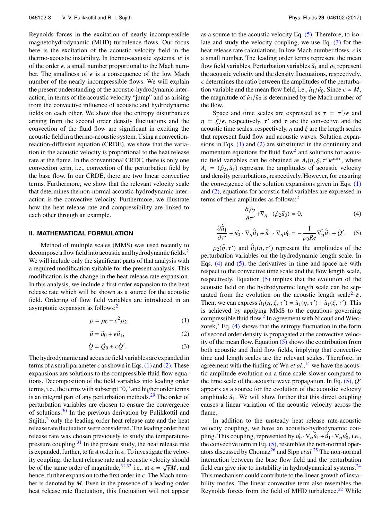Reynolds forces in the excitation of nearly incompressible magnetohydrodynamic (MHD) turbulence flows. Our focus here is the excitation of the acoustic velocity field in the thermo-acoustic instability. In thermo-acoustic systems, *u* ′ is of the order  $\epsilon$ , a small number proportional to the Mach number. The smallness of  $\epsilon$  is a consequence of the low Mach number of the nearly incompressible flows. We will explain the present understanding of the acoustic-hydrodynamic interaction, in terms of the acoustic velocity "jump" and as arising from the convective influence of acoustic and hydrodynamic fields on each other. We show that the entropy disturbances arising from the second order density fluctuations and the convection of the fluid flow are significant in exciting the acoustic field in a thermo-acoustic system. Using a convectionreaction-diffusion equation (CRDE), we show that the variation in the acoustic velocity is proportional to the heat release rate at the flame. In the conventional CRDE, there is only one convection term, i.e., convection of the perturbation field by the base flow. In our CRDE, there are two linear convective terms. Furthermore, we show that the relevant velocity scale that determines the non-normal acoustic-hydrodynamic interaction is the convective velocity. Furthermore, we illustrate how the heat release rate and compressibility are linked to each other through an example.

#### **II. MATHEMATICAL FORMULATION**

Method of multiple scales (MMS) was used recently to decompose a flow field into acoustic and hydrodynamic fields.<sup>2</sup> We will include only the significant parts of that analysis with a required modification suitable for the present analysis. This modification is the change in the heat release rate expansion. In this analysis, we include a first order expansion to the heat release rate which will be shown as a source for the acoustic field. Ordering of flow field variables are introduced in an asymptotic expansion as follows:<sup>2</sup>

$$
\rho = \rho_0 + \epsilon^2 \rho_2,\tag{1}
$$

$$
\vec{u} = \vec{u}_0 + \epsilon \vec{u}_1,\tag{2}
$$

$$
\dot{Q} = \dot{Q}_0 + \epsilon \dot{Q}'.\tag{3}
$$

The hydrodynamic and acoustic field variables are expanded in terms of a small parameter  $\epsilon$  as shown in Eqs. (1) and (2). These expansions are solutions to the compressible fluid flow equations. Decomposition of the field variables into leading order terms, i.e., the terms with subscript "0," and higher order terms is an integral part of any perturbation methods.<sup>29</sup> The order of perturbation variables are chosen to ensure the convergence of solutions.<sup>30</sup> In the previous derivation by Pulikkottil and Sujith, $<sup>2</sup>$  only the leading order heat release rate and the heat</sup> release rate fluctuation were considered. The leading order heat release rate was chosen previously to study the temperaturepressure coupling.<sup>31</sup> In the present study, the heat release rate is expanded, further, to first order in  $\epsilon$ . To investigate the velocity coupling, the heat release rate and acoustic velocity should be of the same order of magnitude,<sup>31,32</sup> i.e., at  $\epsilon = \sqrt{\gamma}M$ , and hence, further expansion to the first order in  $\epsilon$ . The Mach number is denoted by *M*. Even in the presence of a leading order heat release rate fluctuation, this fluctuation will not appear

as a source to the acoustic velocity Eq. (5). Therefore, to isolate and study the velocity coupling, we use Eq. (3) for the heat release rate calculations. In low Mach number flows,  $\epsilon$  is a small number. The leading order terms represent the mean flow field variables. Perturbation variables  $\vec{u}_1$  and  $\rho_2$  represent the acoustic velocity and the density fluctuations, respectively.  $\epsilon$  determines the ratio between the amplitudes of the perturbation variable and the mean flow field, i.e.,  $\hat{u}_1/\hat{u}_0$ . Since  $\epsilon \propto M$ , the magnitude of  $\hat{u}_1/\hat{u}_0$  is determined by the Mach number of the flow.

Space and time scales are expressed as  $\tau = \tau'/\epsilon$  and  $\eta = \xi/\epsilon$ , respectively.  $\tau'$  and  $\tau$  are the convective and the acoustic time scales, respectively.  $\eta$  and  $\xi$  are the length scales that represent fluid flow and acoustic waves. Solution expansions in Eqs. (1) and (2) are substituted in the continuity and momentum equations for fluid flow<sup>2</sup> and solutions for acoustic field variables can be obtained as  $A_i(\eta, \xi, \tau')e^{i\omega \tau}$ , where  $A_i = (\hat{\rho}_2, \hat{u}_1)$  represent the amplitudes of acoustic velocity and density perturbations, respectively. However, for ensuring the convergence of the solution expansions given in Eqs.  $(1)$ and (2), equations for acoustic field variables are expressed in terms of their amplitudes as follows: $<sup>2</sup>$ </sup>

$$
\frac{\partial \hat{\rho}_2}{\partial \tau'} + \nabla_\eta \cdot (\hat{\rho}_2 \vec{u}_0) = 0,\tag{4}
$$

$$
\frac{\partial \hat{\vec{u}}_1}{\partial \tau'} + \vec{u_0} \cdot \nabla_{\eta} \hat{\vec{u}}_1 + \hat{\vec{u}}_1 \cdot \nabla_{\eta} \vec{u_0} = -\frac{1}{\rho_0 Re} \nabla_{\eta}^2 \hat{\vec{u}}_1 + \dot{Q}'. \quad (5)
$$

 $\rho_2(\hat{\eta}, \tau')$  and  $\hat{\vec{u}}_1(\eta, \tau')$  represent the amplitudes of the perturbation variables on the hydrodynamic length scale. In Eqs. (4) and (5), the derivatives in time and space are with respect to the convective time scale and the flow length scale, respectively. Equation (5) implies that the evolution of the acoustic field on the hydrodynamic length scale can be separated from the evolution on the acoustic length scale<sup>2</sup>  $\xi$ . Then, we can express  $\hat{u}_1(\eta, \xi, \tau') = \hat{u}_1(\eta, \tau') + \hat{u}_1(\xi, \tau')$ . This is achieved by applying MMS to the equations governing compressible fluid flow.<sup>2</sup> In agreement with Nicoud and Wieczorek, $\sqrt{2}$  Eq. (4) shows that the entropy fluctuation in the form of second order density is propagated at the convective velocity of the mean flow. Equation  $(5)$  shows the contribution from both acoustic and fluid flow fields, implying that convective time and length scales are the relevant scales. Therefore, in agreement with the finding of Wu *et al.*, <sup>14</sup> we have the acoustic amplitude evolution on a time scale slower compared to the time scale of the acoustic wave propagation. In Eq.  $(5)$ ,  $Q'$ appears as a source for the evolution of the acoustic velocity amplitude  $\vec{u}_1$ . We will show further that this direct coupling causes a linear variation of the acoustic velocity across the flame.

In addition to the unsteady heat release rate-acoustic velocity coupling, we have an acoustic-hydrodynamic coupling. This coupling, represented by  $\vec{u_0} \cdot \nabla_{\eta} \hat{u_1} + \hat{u_1} \cdot \nabla_{\eta} \vec{u_0}$ , i.e., the convective term in Eq.  $(5)$ , resembles the non-normal operators discussed by Chomaz<sup>26</sup> and Sipp *et al.*<sup>25</sup> The non-normal interaction between the base flow field and the perturbation field can give rise to instability in hydrodynamical systems.  $24$ This mechanism could contribute to the linear growth of instability modes. The linear convective term also resembles the Reynolds forces from the field of MHD turbulence.<sup>22</sup> While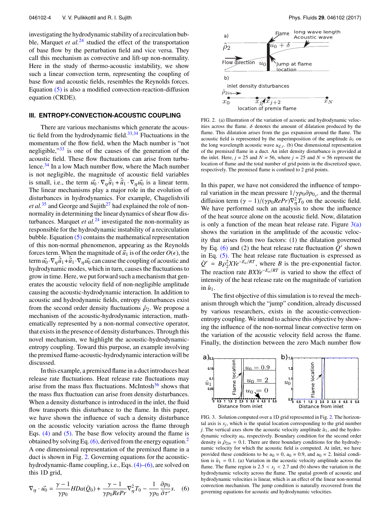investigating the hydrodynamic stability of a recirculation bubble, Marquet *et al.*<sup>24</sup> studied the effect of the transportation of base flow by the perturbation field and vice versa. They call this mechanism as convective and lift-up non-normality. Here in the study of thermo-acoustic instability, we show such a linear convection term, representing the coupling of base flow and acoustic fields, resembles the Reynolds forces. Equation (5) is also a modified convection-reaction-diffusion equation (CRDE).

#### **III. ENTROPY-CONVECTION-ACOUSTIC COUPLING**

There are various mechanisms which generate the acoustic field from the hydrodynamic field. $33,34$  Fluctuations in the momentum of the flow field, when the Mach number is "not negligible," $33$  is one of the causes of the generation of the acoustic field. These flow fluctuations can arise from turbulence.<sup>34</sup> In a low Mach number flow, where the Mach number is not negligible, the magnitude of acoustic field variables is small, i.e., the term  $\vec{u_0} \cdot \nabla_{\eta} \hat{u_1} + \hat{u_1} \cdot \nabla_{\eta} \vec{u_0}$  is a linear term. The linear mechanisms play a major role in the evolution of disturbances in hydrodynamics. For example, Chagelishvili *et al.*<sup>35</sup> and George and Sujith<sup>27</sup> had explained the role of nonnormality in determining the linear dynamics of shear flow disturbances. Marquet *et al.*<sup>24</sup> investigated the non-normality as responsible for the hydrodynamic instability of a recirculation bubble. Equation  $(5)$  contains the mathematical representation of this non-normal phenomenon, appearing as the Reynolds forces term. When the magnitude of  $\vec{u}_1$  is of the order  $O(\epsilon)$ , the term  $\vec{u_0} \cdot \nabla_{\eta} \hat{\vec{u}}_1 + \hat{\vec{u}}_1 \cdot \nabla_{\eta} \vec{u_0}$  can cause the coupling of acoustic and hydrodynamic modes, which in turn, causes the fluctuations to grow in time. Here, we put forward such a mechanism that generates the acoustic velocity field of non-negligible amplitude causing the acoustic-hydrodynamic interaction. In addition to acoustic and hydrodynamic fields, entropy disturbances exist from the second order density fluctuations  $\hat{\rho}_2$ . We propose a mechanism of the acoustic-hydrodynamic interaction, mathematically represented by a non-normal convective operator, that exists in the presence of density disturbances. Through this novel mechanism, we highlight the acoustic-hydrodynamicentropy coupling. Toward this purpose, an example involving the premixed flame-acoustic-hydrodynamic interaction will be discussed.

In this example, a premixed flame in a duct introduces heat release rate fluctuations. Heat release rate fluctuations may arise from the mass flux fluctuations. McIntosh $36$  shows that the mass flux fluctuation can arise from density disturbances. When a density disturbance is introduced in the inlet, the fluid flow transports this disturbance to the flame. In this paper, we have shown the influence of such a density disturbance on the acoustic velocity variation across the flame through Eqs.  $(4)$  and  $(5)$ . The base flow velocity around the flame is obtained by solving Eq.  $(6)$ , derived from the energy equation.<sup>2</sup> A one dimensional representation of the premixed flame in a duct is shown in Fig. 2. Governing equations for the acoustichydrodynamic-flame coupling, i.e., Eqs. (4)–(6), are solved on this 1D grid,

$$
\nabla_{\eta} \cdot \vec{u_0} = \frac{\gamma - 1}{\gamma p_0} HDa(\dot{Q}_0) + \frac{\gamma - 1}{\gamma p_0 RePr} \nabla_{\eta}^2 T_0 - \frac{1}{\gamma p_0} \frac{\partial p_0}{\partial \tau'} s. \tag{6}
$$



FIG. 2. (a) Illustration of the variation of acoustic and hydrodynamic velocities across the flame.  $\delta$  denotes the amount of dilatation produced by the flame. This dilatation arises from the gas expansion around the flame. The acoustic field is represented by the superimposition of the amplitude  $\hat{u}_1$  on the long wavelength acoustic wave  $u_{\xi,t}$ . (b) One dimensional representation of the premixed flame in a duct. An inlet density disturbance is provided at the inlet. Here,  $j = 25$  and  $N = 56$ , where  $j = 25$  and  $N = 56$  represent the location of flame and the total number of grid points in the discretized space, respectively. The premixed flame is confined to 2 grid points.

In this paper, we have not considered the influence of temporal variation in the mean pressure  $1/\gamma p_0 \partial p_{0_{\tau'}}$  and the thermal diffusion term  $(\gamma - 1)/(\gamma p_0 RePr) \nabla^2_\eta T_0$  on the acoustic field. We have performed such an analysis to show the influence of the heat source alone on the acoustic field. Now, dilatation is only a function of the mean heat release rate. Figure  $3(a)$ shows the variation in the amplitude of the acoustic velocity that arises from two factors: (1) the dilatation governed by Eq. (6) and (2) the heat release rate fluctuation  $\dot{Q}'$  shown in Eq. (5). The heat release rate fluctuation is expressed as  $Q' = B \rho_2^2 X V e^{-E_a/RT}$ , where *B* is the pre-exponential factor. The reaction rate *BXYe*−*Ea*/*RT* is varied to show the effect of intensity of the heat release rate on the magnitude of variation in  $\hat{u}_1$ .

The first objective of this simulation is to reveal the mechanism through which the "jump" condition, already discussed by various researchers, exists in the acoustic-convectionentropy coupling. We intend to achieve this objective by showing the influence of the non-normal linear convective term on the variation of the acoustic velocity field across the flame. Finally, the distinction between the zero Mach number flow



FIG. 3. Solution computed over a 1D grid represented in Fig. 2. The horizontal axis is  $x_j$ , which is the spatial location corresponding to the grid number *j*. The vertical axes show the acoustic velocity amplitude  $\hat{u}_1$ , and the hydrodynamic velocity  $u_0$ , respectively. Boundary condition for the second order density is  $\hat{\rho}_{2in} = 0.1$ . There are three boundary conditions for the hydrodynamic velocity for which the acoustic field is computed. At inlet, we have provided these conditions to be  $u_0 = 0$ ,  $u_0 = 0.9$ , and  $u_0 = 2$ . Initial condition is  $\hat{u}_1 = 0.1$ . (a) Variation in the acoustic velocity amplitude across the flame. The flame region is  $2.5 < x_j < 2.7$  and (b) shows the variation in the hydrodynamic velocity across the flame. The spatial growth of acoustic and hydrodynamic velocities is linear, which is an effect of the linear non-normal convection mechanism. The jump condition is naturally recovered from the governing equations for acoustic and hydrodynamic velocities.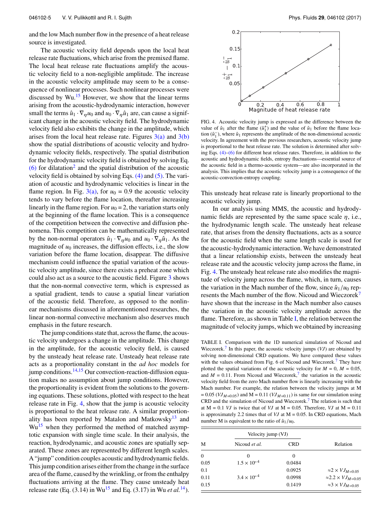and the low Mach number flow in the presence of a heat release source is investigated.

The acoustic velocity field depends upon the local heat release rate fluctuations, which arise from the premixed flame. The local heat release rate fluctuations amplify the acoustic velocity field to a non-negligible amplitude. The increase in the acoustic velocity amplitude may seem to be a consequence of nonlinear processes. Such nonlinear processes were discussed by Wu.<sup>15</sup> However, we show that the linear terms arising from the acoustic-hydrodynamic interaction, however small the terms  $\hat{u}_1 \cdot \nabla_{\eta} u_0$  and  $u_0 \cdot \nabla_{\eta} \hat{u}_1$  are, can cause a significant change in the acoustic velocity field. The hydrodynamic velocity field also exhibits the change in the amplitude, which arises from the local heat release rate. Figures  $3(a)$  and  $3(b)$ show the spatial distributions of acoustic velocity and hydrodynamic velocity fields, respectively. The spatial distribution for the hydrodynamic velocity field is obtained by solving Eq.  $(6)$  for dilatation<sup>2</sup> and the spatial distribution of the acoustic velocity field is obtained by solving Eqs. (4) and (5). The variation of acoustic and hydrodynamic velocities is linear in the flame region. In Fig.  $3(a)$ , for  $u_0 = 0.9$  the acoustic velocity tends to vary before the flame location, thereafter increasing linearly in the flame region. For  $u_0 = 2$ , the variation starts only at the beginning of the flame location. This is a consequence of the competition between the convective and diffusion phenomena. This competition can be mathematically represented by the non-normal operators  $\hat{u}_1 \cdot \nabla_{\eta} u_0$  and  $u_0 \cdot \nabla_{\eta} \hat{u}_1$ . As the magnitude of  $u_0$  increases, the diffusion effects, i.e., the slow variation before the flame location, disappear. The diffusive mechanism could influence the spatial variation of the acoustic velocity amplitude, since there exists a preheat zone which could also act as a source to the acoustic field. Figure 3 shows that the non-normal convective term, which is expressed as a spatial gradient, tends to cause a spatial linear variation of the acoustic field. Therefore, as opposed to the nonlinear mechanisms discussed in aforementioned researches, the linear non-normal convective mechanism also deserves much emphasis in the future research.

The jump conditions state that, across the flame, the acoustic velocity undergoes a change in the amplitude. This change in the amplitude, for the acoustic velocity field, is caused by the unsteady heat release rate. Unsteady heat release rate acts as a proportionality constant in the *ad hoc* models for jump conditions.  $14,15$  Our convection-reaction-diffusion equation makes no assumption about jump conditions. However, the proportionality is evident from the solutions to the governing equations. These solutions, plotted with respect to the heat release rate in Fig. 4, show that the jump is acoustic velocity is proportional to the heat release rate. A similar proportionality has been reported by Matalon and Matkowsky<sup>13</sup> and  $\text{Wu}^{\frac{15}{}}$  when they performed the method of matched asymptotic expansion with single time scale. In their analysis, the reaction, hydrodynamic, and acoustic zones are spatially separated. These zones are represented by different length scales. A "jump" condition couples acoustic and hydrodynamic fields. This jump condition arises either from the change in the surface area of the flame, caused by the wrinkling, or from the enthalpy fluctuations arriving at the flame. They cause unsteady heat release rate (Eq.  $(3.14)$  in Wu<sup>15</sup> and Eq.  $(3.17)$  in Wu *et al.*<sup>14</sup>).



FIG. 4. Acoustic velocity jump is expressed as the difference between the value of  $\hat{u}_1$  after the flame  $(\hat{u}_1^+)$  and the value of  $\hat{u}_1$  before the flame location  $(\hat{u}_1)$ , where  $\hat{u}_1$  represents the amplitude of the non-dimensional acoustic velocity. In agreement with the previous researchers, acoustic velocity jump is proportional to the heat release rate. The solution is determined after solving Eqs.  $(4)$ – $(6)$  for different heat release rates. Therefore, in addition to the acoustic and hydrodynamic fields, entropy fluctuations—essential source of the acoustic field in a thermo-acoustic system—are also incorporated in the analysis. This implies that the acoustic velocity jump is a consequence of the acoustic-convection-entropy coupling.

This unsteady heat release rate is linearly proportional to the acoustic velocity jump.

In our analysis using MMS, the acoustic and hydrodynamic fields are represented by the same space scale  $\eta$ , i.e., the hydrodynamic length scale. The unsteady heat release rate, that arises from the density fluctuations, acts as a source for the acoustic field when the same length scale is used for the acoustic-hydrodynamic interaction. We have demonstrated that a linear relationship exists, between the unsteady heat release rate and the acoustic velocity jump across the flame, in Fig. 4. The unsteady heat release rate also modifies the magnitude of velocity jump across the flame, which, in turn, causes the variation in the Mach number of the flow, since  $\hat{u}_1/u_0$  represents the Mach number of the flow. Nicoud and Wieczorek<sup>7</sup> have shown that the increase in the Mach number also causes the variation in the acoustic velocity amplitude across the flame. Therefore, as shown in Table I, the relation between the magnitude of velocity jumps, which we obtained by increasing

TABLE I. Comparison with the 1D numerical simulation of Nicoud and Wieczorek.<sup>7</sup> In this paper, the acoustic velocity jumps (*VJ*) are obtained by solving non-dimensional CRD equations. We have compared these values with the values obtained from Fig. 6 of Nicoud and Wieczorek.<sup>7</sup> They have plotted the spatial variations of the acoustic velocity for  $M = 0$ ,  $M = 0.05$ , and  $M = 0.11$ . From Nicoud and Wieczorek,<sup>7</sup> the variation in the acoustic velocity field from the zero Mach number flow is linearly increasing with the Mach number. For example, the relation between the velocity jumps at M  $= 0.05$  (*VJ<sub>M*=0.05</sub>) and M = 0.11 (*VJ<sub>M=0.11</sub>*) is same for our simulation using CRD and the simulation of Nicoud and Wieczorek.<sup>7</sup> The relation is such that at  $M = 0.1$  *VJ* is twice that of *VJ* at  $M = 0.05$ . Therefore, *VJ* at  $M = 0.11$ is approximately 2.2 times that of  $VI$  at  $M = 0.05$ . In CRD equations, Mach number M is equivalent to the ratio of  $\hat{u}_1/u_0$ .

| M            | Velocity jump (VJ)   |        |                                  |
|--------------|----------------------|--------|----------------------------------|
|              | Nicoud et al.        | CRD    | Relation                         |
| $\mathbf{0}$ | 0                    | 0      |                                  |
| 0.05         | $1.5 \times 10^{-4}$ | 0.0484 |                                  |
| 0.1          |                      | 0.0925 | $\approx$ 2 × $VI_{M=0.05}$      |
| 0.11         | $3.4 \times 10^{-4}$ | 0.0998 | ${\approx}2.2\times VJ_{M=0.05}$ |
| 0.15         |                      | 0.1419 | $\approx 3 \times VJ_{M=0.05}$   |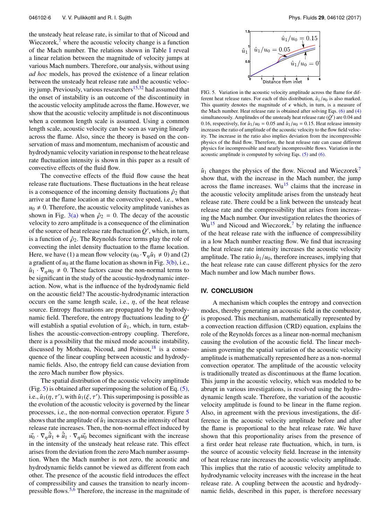the unsteady heat release rate, is similar to that of Nicoud and Wieczorek, $\prime$  where the acoustic velocity change is a function of the Mach number. The relations shown in Table I reveal a linear relation between the magnitude of velocity jumps at various Mach numbers. Therefore, our analysis, without using *ad hoc* models, has proved the existence of a linear relation between the unsteady heat release rate and the acoustic velocity jump. Previously, various researchers<sup>15,32</sup> had assumed that the onset of instability is an outcome of the discontinuity in the acoustic velocity amplitude across the flame. However, we show that the acoustic velocity amplitude is not discontinuous when a common length scale is assumed. Using a common length scale, acoustic velocity can be seen as varying linearly across the flame. Also, since the theory is based on the conservation of mass and momentum, mechanism of acoustic and hydrodynamic velocity variation in response to the heat release rate fluctuation intensity is shown in this paper as a result of convective effects of the fluid flow.

The convective effects of the fluid flow cause the heat release rate fluctuations. These fluctuations in the heat release is a consequence of the incoming density fluctuations  $\hat{\rho}_2$  that arrive at the flame location at the convective speed, i.e., when  $u_0 \neq 0$ . Therefore, the acoustic velocity amplitude vanishes as shown in Fig.  $3(a)$  when  $\hat{\rho}_2 = 0$ . The decay of the acoustic velocity to zero amplitude is a consequence of the elimination of the source of heat release rate fluctuation  $\dot{Q}'$ , which, in turn, is a function of  $\hat{\rho}_2$ . The Reynolds force terms play the role of convecting the inlet density fluctuation to the flame location. Here, we have (1) a mean flow velocity  $(u_0 \cdot \nabla_n \hat{u}_1 \neq 0)$  and (2) a gradient of  $u_0$  at the flame location as shown in Fig.  $3(b)$ , i.e.,  $\hat{u}_1 \cdot \nabla_n u_0 \neq 0$ . These factors cause the non-normal terms to be significant in the study of the acoustic-hydrodynamic interaction. Now, what is the influence of the hydrodynamic field on the acoustic field? The acoustic-hydrodynamic interaction occurs on the same length scale, i.e.,  $\eta$ , of the heat release source. Entropy fluctuations are propagated by the hydrodynamic field. Therefore, the entropy fluctuations leading to  $Q'$ will establish a spatial evolution of  $\hat{u}_1$ , which, in turn, establishes the acoustic-convection-entropy coupling. Therefore, there is a possibility that the mixed mode acoustic instability, discussed by Motheau, Nicoud, and Poinsot,  $^{18}$  is a consequence of the linear coupling between acoustic and hydrodynamic fields. Also, the entropy field can cause deviation from the zero Mach number flow physics.

The spatial distribution of the acoustic velocity amplitude (Fig. 5) is obtained after superimposing the solution of Eq. (5), i.e.,  $\hat{u}_1(\eta, \tau')$ , with  $\hat{u}_1(\xi, \tau')$ . This superimposing is possible as the evolution of the acoustic velocity is governed by the linear processes, i.e., the non-normal convection operator. Figure 5 shows that the amplitude of  $\hat{u}_1$  increases as the intensity of heat release rate increases. Then, the non-normal effect induced by  $\vec{u_0} \cdot \nabla_n \hat{\vec{u}}_1 + \hat{\vec{u}}_1 \cdot \nabla_n \vec{u_0}$  becomes significant with the increase in the intensity of the unsteady heat release rate. This effect arises from the deviation from the zero Mach number assumption. When the Mach number is not zero, the acoustic and hydrodynamic fields cannot be viewed as different from each other. The presence of the acoustic field introduces the effect of compressibility and causes the transition to nearly incompressible flows.<sup>5,6</sup> Therefore, the increase in the magnitude of



FIG. 5. Variation in the acoustic velocity amplitude across the flame for different heat release rates. For each of this distribution,  $\hat{u}_1/u_0$  is also marked. This quantity denotes the magnitude of  $\epsilon$  which, in turn, is a measure of the Mach number. Heat release rate is obtained after solving Eqs. (6) and (4) simultaneously. Amplitudes of the unsteady heat release rate  $(\dot{Q}')$  are 0.04 and 0.16, respectively, for  $\hat{u}_1/u_0 = 0.05$  and  $\hat{u}_1/u_0 = 0.15$ . Heat release intensity increases the ratio of amplitude of the acoustic velocity to the flow field velocity. The increase in the ratio also implies deviation from the incompressible physics of the fluid flow. Therefore, the heat release rate can cause different physics for incompressible and nearly incompressible flows. Variation in the acoustic amplitude is computed by solving Eqs. (5) and (6).

 $\hat{u}_1$  changes the physics of the flow. Nicoud and Wieczorek<sup>1</sup> show that, with the increase in the Mach number, the jump across the flame increases.  $Wu^{15}$  claims that the increase in the acoustic velocity amplitude arises from the unsteady heat release rate. There could be a link between the unsteady heat release rate and the compressibility that arises from increasing the Mach number. Our investigation relates the theories of  $Wu^{15}$  and Nicoud and Wieczorek,<sup>7</sup> by relating the influence of the heat release rate with the influence of compressibility in a low Mach number reacting flow. We find that increasing the heat release rate intensity increases the acoustic velocity amplitude. The ratio  $\hat{u}_1/u_0$ , therefore increases, implying that the heat release rate can cause different physics for the zero Mach number and low Mach number flows.

### **IV. CONCLUSION**

A mechanism which couples the entropy and convection modes, thereby generating an acoustic field in the combustor, is proposed. This mechanism, mathematically represented by a convection reaction diffusion (CRD) equation, explains the role of the Reynolds forces as a linear non-normal mechanism causing the evolution of the acoustic field. The linear mechanism governing the spatial variation of the acoustic velocity amplitude is mathematically represented here as a non-normal convection operator. The amplitude of the acoustic velocity is traditionally treated as discontinuous at the flame location. This jump in the acoustic velocity, which was modeled to be abrupt in various investigations, is resolved using the hydrodynamic length scale. Therefore, the variation of the acoustic velocity amplitude is found to be linear in the flame region. Also, in agreement with the previous investigations, the difference in the acoustic velocity amplitude before and after the flame is proportional to the heat release rate. We have shown that this proportionality arises from the presence of a first order heat release rate fluctuation, which, in turn, is the source of acoustic velocity field. Increase in the intensity of heat release rate increases the acoustic velocity amplitude. This implies that the ratio of acoustic velocity amplitude to hydrodynamic velocity increases with the increase in the heat release rate. A coupling between the acoustic and hydrodynamic fields, described in this paper, is therefore necessary